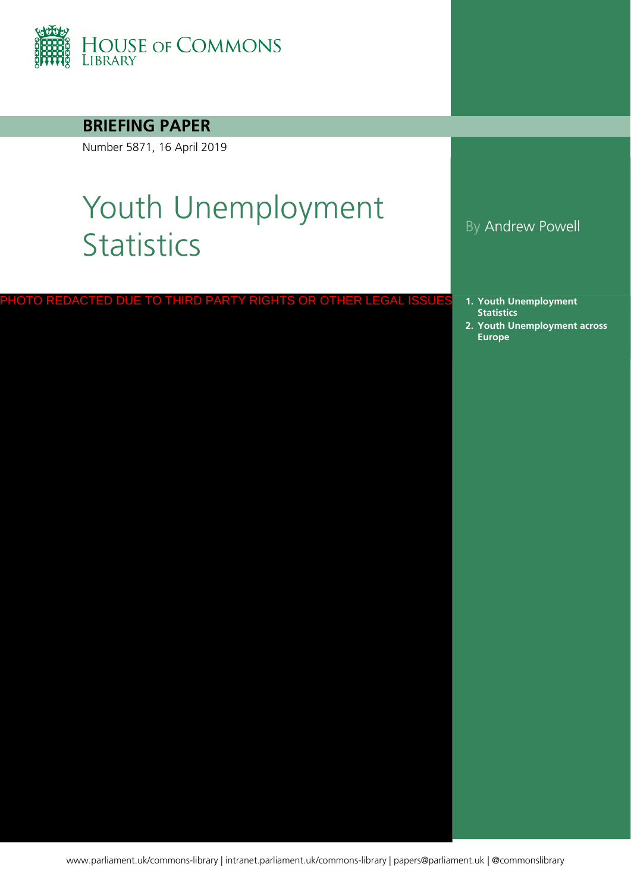

### **BRIEFING PAPER**

Number 5871, 16 April 2019

# Youth Unemployment Statistics By Andrew Powell

PHOTO REDACTED DUE TO THIRD PARTY RIGHTS OR OTHER LEGAL ISSUES

- **1. [Youth Unemployment](#page-1-0)  Statistics**
- **2. [Youth Unemployment across](#page-3-0)  Europe**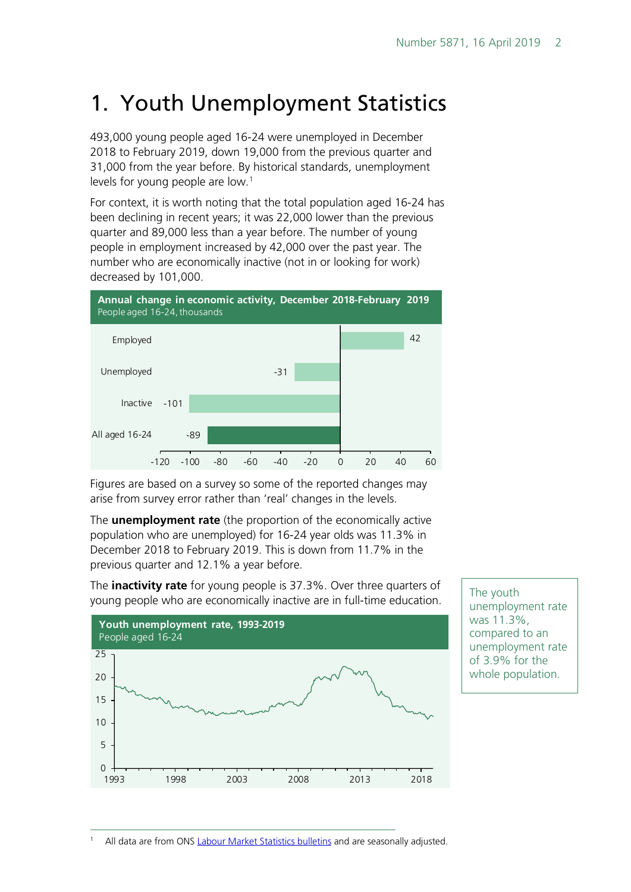# <span id="page-1-0"></span>1. Youth Unemployment Statistics

493,000 young people aged 16-24 were unemployed in December 2018 to February 2019, down 19,000 from the previous quarter and 31,000 from the year before. By historical standards, unemployment levels for young people are low.<sup>[1](#page-1-1)</sup>

For context, it is worth noting that the total population aged 16-24 has been declining in recent years; it was 22,000 lower than the previous quarter and 89,000 less than a year before. The number of young people in employment increased by 42,000 over the past year. The number who are economically inactive (not in or looking for work) decreased by 101,000.



Figures are based on a survey so some of the reported changes may arise from survey error rather than 'real' changes in the levels.

The **unemployment rate** (the proportion of the economically active population who are unemployed) for 16-24 year olds was 11.3% in December 2018 to February 2019. This is down from 11.7% in the previous quarter and 12.1% a year before.

The **inactivity rate** for young people is 37.3%. Over three quarters of young people who are economically inactive are in full-time education.



The youth unemployment rate was 11.3%, compared to an unemployment rate of 3.9% for the whole population.

<span id="page-1-1"></span>All data are from ONS [Labour Market Statistics bulletins](https://www.ons.gov.uk/employmentandlabourmarket/peopleinwork/employmentandemployeetypes/bulletins/uklabourmarket/previousReleases) and are seasonally adjusted.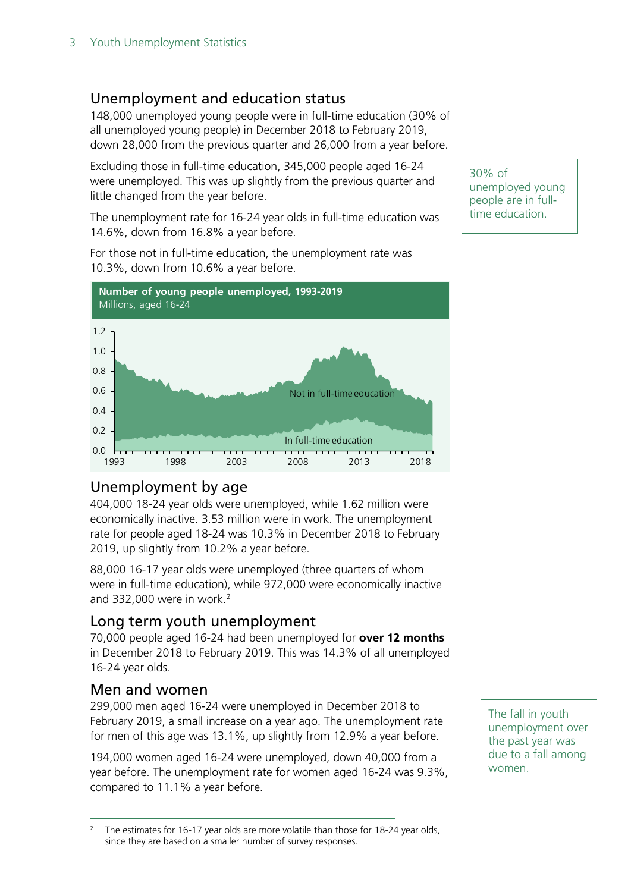#### Unemployment and education status

148,000 unemployed young people were in full-time education (30% of all unemployed young people) in December 2018 to February 2019, down 28,000 from the previous quarter and 26,000 from a year before.

Excluding those in full-time education, 345,000 people aged 16-24 were unemployed. This was up slightly from the previous quarter and little changed from the year before.

The unemployment rate for 16-24 year olds in full-time education was 14.6%, down from 16.8% a year before.

For those not in full-time education, the unemployment rate was 10.3%, down from 10.6% a year before.



#### 30% of unemployed young people are in fulltime education.

#### Unemployment by age

404,000 18-24 year olds were unemployed, while 1.62 million were economically inactive. 3.53 million were in work. The unemployment rate for people aged 18-24 was 10.3% in December 2018 to February 2019, up slightly from 10.2% a year before.

88,000 16-17 year olds were unemployed (three quarters of whom were in full-time education), while 972,000 were economically inactive and 33[2](#page-2-0),000 were in work.<sup>2</sup>

#### Long term youth unemployment

70,000 people aged 16-24 had been unemployed for **over 12 months** in December 2018 to February 2019. This was 14.3% of all unemployed 16-24 year olds.

#### Men and women

299,000 men aged 16-24 were unemployed in December 2018 to February 2019, a small increase on a year ago. The unemployment rate for men of this age was 13.1%, up slightly from 12.9% a year before.

194,000 women aged 16-24 were unemployed, down 40,000 from a year before. The unemployment rate for women aged 16-24 was 9.3%, compared to 11.1% a year before.

The fall in youth unemployment over the past year was due to a fall among women.

<span id="page-2-0"></span>The estimates for 16-17 year olds are more volatile than those for 18-24 year olds, since they are based on a smaller number of survey responses.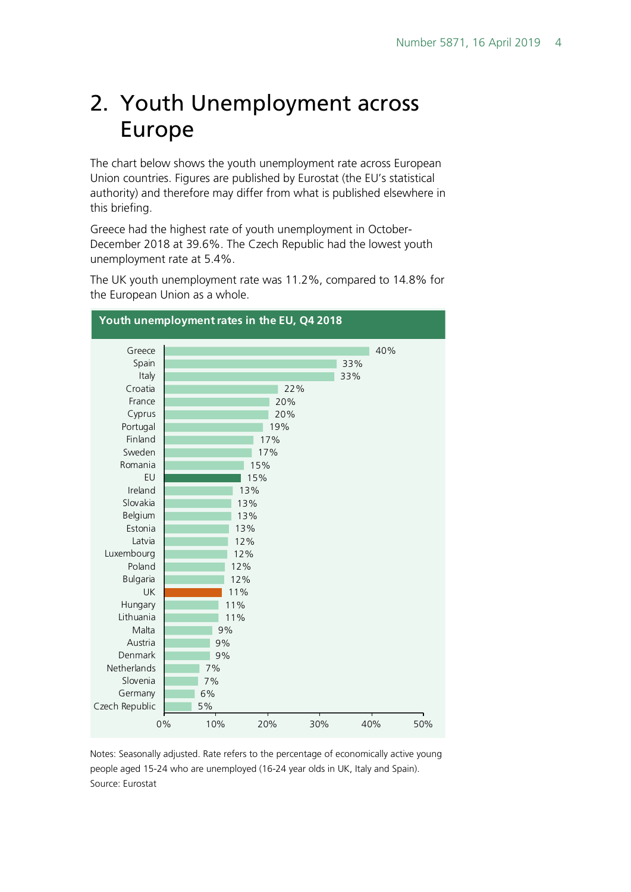## <span id="page-3-0"></span>2. Youth Unemployment across Europe

The chart below shows the youth unemployment rate across European Union countries. Figures are published by Eurostat (the EU's statistical authority) and therefore may differ from what is published elsewhere in this briefing.

Greece had the highest rate of youth unemployment in October-December 2018 at 39.6%. The Czech Republic had the lowest youth unemployment rate at 5.4%.

The UK youth unemployment rate was 11.2%, compared to 14.8% for the European Union as a whole.



Notes: Seasonally adjusted. Rate refers to the percentage of economically active young people aged 15-24 who are unemployed (16-24 year olds in UK, Italy and Spain). Source: Eurostat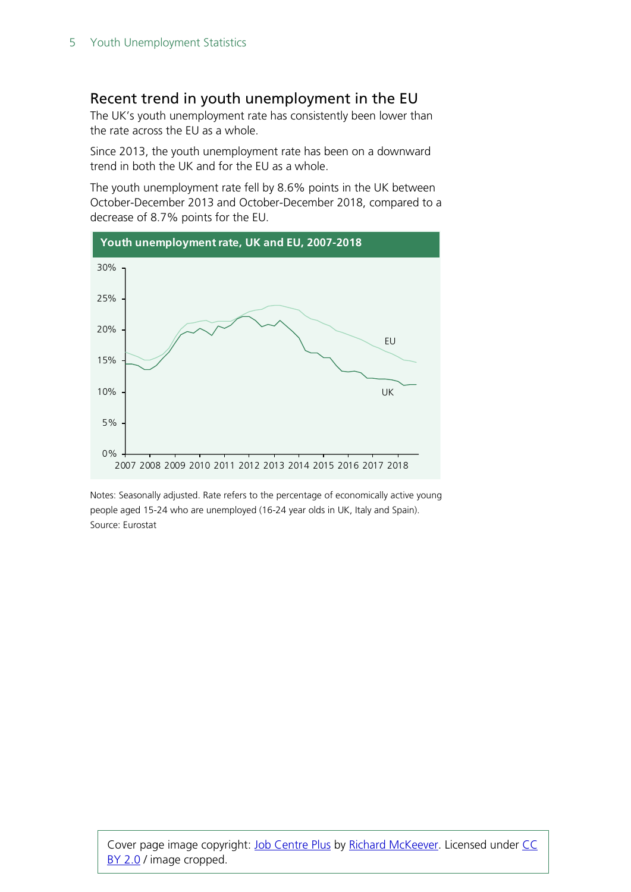#### Recent trend in youth unemployment in the EU

The UK's youth unemployment rate has consistently been lower than the rate across the EU as a whole.

Since 2013, the youth unemployment rate has been on a downward trend in both the UK and for the EU as a whole.

The youth unemployment rate fell by 8.6% points in the UK between October-December 2013 and October-December 2018, compared to a decrease of 8.7% points for the EU.



Notes: Seasonally adjusted. Rate refers to the percentage of economically active young people aged 15-24 who are unemployed (16-24 year olds in UK, Italy and Spain). Source: Eurostat

Cover page image copyright: [Job Centre Plus](https://www.flickr.com/photos/richardmckeever/2901665402/) by [Richard McKeever.](https://www.flickr.com/photos/richardmckeever/2901665402/) Licensed under CC [BY 2.0](https://creativecommons.org/licenses/by-nc/2.0/) / image cropped.